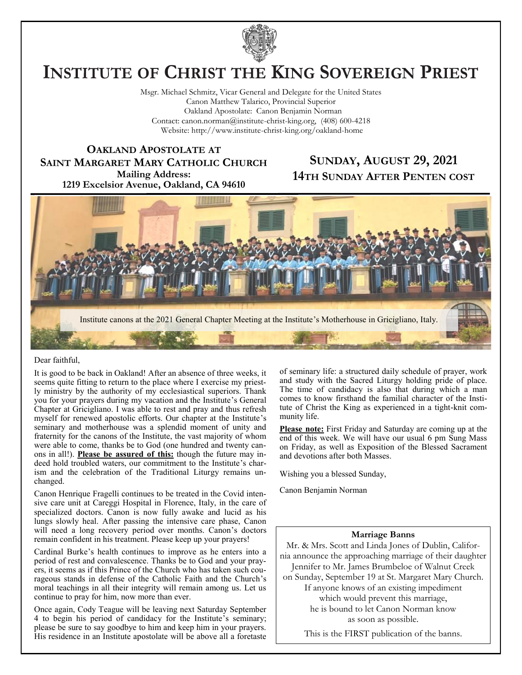

# **INSTITUTE OF CHRIST THE KING SOVEREIGN PRIEST**

Msgr. Michael Schmitz, Vicar General and Delegate for the United States Canon Matthew Talarico, Provincial Superior Oakland Apostolate: Canon Benjamin Norman Contact: canon.norman@institute-christ-king.org, (408) 600-4218 Website: http://www.institute-christ-king.org/oakland-home

**OAKLAND APOSTOLATE AT SAINT MARGARET MARY CATHOLIC CHURCH Mailing Address: 1219 Excelsior Avenue, Oakland, CA 94610**

# **SUNDAY, AUGUST 29, 2021 14TH SUNDAY AFTER PENTEN COST**



#### Dear faithful,

It is good to be back in Oakland! After an absence of three weeks, it seems quite fitting to return to the place where I exercise my priestly ministry by the authority of my ecclesiastical superiors. Thank you for your prayers during my vacation and the Institute's General Chapter at Gricigliano. I was able to rest and pray and thus refresh myself for renewed apostolic efforts. Our chapter at the Institute's seminary and motherhouse was a splendid moment of unity and fraternity for the canons of the Institute, the vast majority of whom were able to come, thanks be to God (one hundred and twenty canons in all!). **Please be assured of this:** though the future may indeed hold troubled waters, our commitment to the Institute's charism and the celebration of the Traditional Liturgy remains unchanged.

Canon Henrique Fragelli continues to be treated in the Covid intensive care unit at Careggi Hospital in Florence, Italy, in the care of specialized doctors. Canon is now fully awake and lucid as his lungs slowly heal. After passing the intensive care phase, Canon will need a long recovery period over months. Canon's doctors remain confident in his treatment. Please keep up your prayers!

Cardinal Burke's health continues to improve as he enters into a period of rest and convalescence. Thanks be to God and your prayers, it seems as if this Prince of the Church who has taken such courageous stands in defense of the Catholic Faith and the Church's moral teachings in all their integrity will remain among us. Let us continue to pray for him, now more than ever.

Once again, Cody Teague will be leaving next Saturday September 4 to begin his period of candidacy for the Institute's seminary; please be sure to say goodbye to him and keep him in your prayers. His residence in an Institute apostolate will be above all a foretaste

of seminary life: a structured daily schedule of prayer, work and study with the Sacred Liturgy holding pride of place. The time of candidacy is also that during which a man comes to know firsthand the familial character of the Institute of Christ the King as experienced in a tight-knit community life.

**Please note:** First Friday and Saturday are coming up at the end of this week. We will have our usual 6 pm Sung Mass on Friday, as well as Exposition of the Blessed Sacrament and devotions after both Masses.

Wishing you a blessed Sunday,

Canon Benjamin Norman

#### **Marriage Banns**

Mr. & Mrs. Scott and Linda Jones of Dublin, California announce the approaching marriage of their daughter Jennifer to Mr. James Brumbeloe of Walnut Creek on Sunday, September 19 at St. Margaret Mary Church.

> If anyone knows of an existing impediment which would prevent this marriage, he is bound to let Canon Norman know as soon as possible.

This is the FIRST publication of the banns.